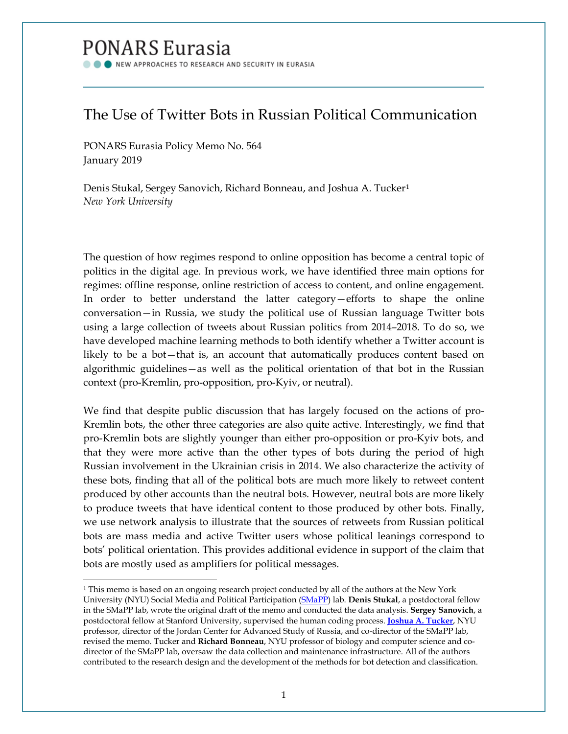# PONARS Eurasia

NEW APPROACHES TO RESEARCH AND SECURITY IN EURASIA

# The Use of Twitter Bots in Russian Political Communication

PONARS Eurasia Policy Memo No. 564 January 2019

Denis Stukal, Sergey Sanovich, Richard Bonneau, and Joshua A. Tucker<sup>[1](#page-0-0)</sup> *New York University*

The question of how regimes respond to online opposition has become a central topic of politics in the digital age. In previous work, we have identified three main options for regimes: offline response, online restriction of access to content, and online engagement. In order to better understand the latter category—efforts to shape the online conversation—in Russia, we study the political use of Russian language Twitter bots using a large collection of tweets about Russian politics from 2014–2018. To do so, we have developed machine learning methods to both identify whether a Twitter account is likely to be a bot—that is, an account that automatically produces content based on algorithmic guidelines—as well as the political orientation of that bot in the Russian context (pro-Kremlin, pro-opposition, pro-Kyiv, or neutral).

We find that despite public discussion that has largely focused on the actions of pro-Kremlin bots, the other three categories are also quite active. Interestingly, we find that pro-Kremlin bots are slightly younger than either pro-opposition or pro-Kyiv bots, and that they were more active than the other types of bots during the period of high Russian involvement in the Ukrainian crisis in 2014. We also characterize the activity of these bots, finding that all of the political bots are much more likely to retweet content produced by other accounts than the neutral bots. However, neutral bots are more likely to produce tweets that have identical content to those produced by other bots. Finally, we use network analysis to illustrate that the sources of retweets from Russian political bots are mass media and active Twitter users whose political leanings correspond to bots' political orientation. This provides additional evidence in support of the claim that bots are mostly used as amplifiers for political messages.

<span id="page-0-0"></span><sup>&</sup>lt;sup>1</sup> This memo is based on an ongoing research project conducted by all of the authors at the New York University (NYU) Social Media and Political Participation [\(SMaPP\)](https://wp.nyu.edu/smapp/people/) lab. **Denis Stukal**, a postdoctoral fellow in the SMaPP lab, wrote the original draft of the memo and conducted the data analysis. **Sergey Sanovich**, a postdoctoral fellow at Stanford University, supervised the human coding process. **[Joshua A. Tucker](http://www.ponarseurasia.org/members/joshua-tucker)**, NYU professor, director of the Jordan Center for Advanced Study of Russia, and co-director of the SMaPP lab, revised the memo. Tucker and **Richard Bonneau**, NYU professor of biology and computer science and codirector of the SMaPP lab, oversaw the data collection and maintenance infrastructure. All of the authors contributed to the research design and the development of the methods for bot detection and classification.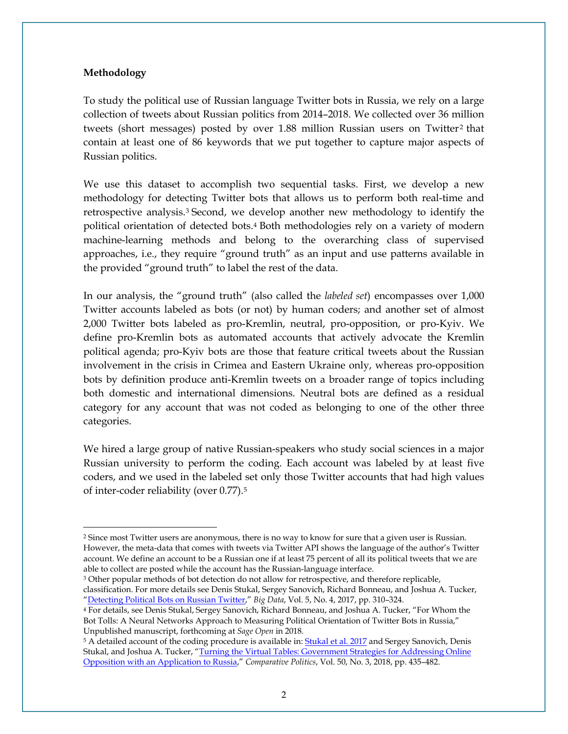#### **Methodology**

To study the political use of Russian language Twitter bots in Russia, we rely on a large collection of tweets about Russian politics from 2014–2018. We collected over 36 million tweets (short messages) posted by over  $1.88$  million Russian users on Twitter<sup>[2](#page-1-0)</sup> that contain at least one of 86 keywords that we put together to capture major aspects of Russian politics.

We use this dataset to accomplish two sequential tasks. First, we develop a new methodology for detecting Twitter bots that allows us to perform both real-time and retrospective analysis[.3](#page-1-1) Second, we develop another new methodology to identify the political orientation of detected bots[.4](#page-1-2) Both methodologies rely on a variety of modern machine-learning methods and belong to the overarching class of supervised approaches, i.e., they require "ground truth" as an input and use patterns available in the provided "ground truth" to label the rest of the data.

In our analysis, the "ground truth" (also called the *labeled set*) encompasses over 1,000 Twitter accounts labeled as bots (or not) by human coders; and another set of almost 2,000 Twitter bots labeled as pro-Kremlin, neutral, pro-opposition, or pro-Kyiv. We define pro-Kremlin bots as automated accounts that actively advocate the Kremlin political agenda; pro-Kyiv bots are those that feature critical tweets about the Russian involvement in the crisis in Crimea and Eastern Ukraine only, whereas pro-opposition bots by definition produce anti-Kremlin tweets on a broader range of topics including both domestic and international dimensions. Neutral bots are defined as a residual category for any account that was not coded as belonging to one of the other three categories.

We hired a large group of native Russian-speakers who study social sciences in a major Russian university to perform the coding. Each account was labeled by at least five coders, and we used in the labeled set only those Twitter accounts that had high values of inter-coder reliability (over 0.77).[5](#page-1-3)

<span id="page-1-1"></span><sup>3</sup> Other popular methods of bot detection do not allow for retrospective, and therefore replicable, classification. For more details see Denis Stukal, Sergey Sanovich, Richard Bonneau, and Joshua A. Tucker, ["Detecting Political Bots on Russian Twitter,"](https://www.ncbi.nlm.nih.gov/pubmed/29235918) *Big Data*, Vol. 5, No. 4, 2017, pp. 310–324.

<span id="page-1-0"></span><sup>2</sup> Since most Twitter users are anonymous, there is no way to know for sure that a given user is Russian. However, the meta-data that comes with tweets via Twitter API shows the language of the author's Twitter account. We define an account to be a Russian one if at least 75 percent of all its political tweets that we are able to collect are posted while the account has the Russian-language interface.

<span id="page-1-2"></span><sup>4</sup> For details, see Denis Stukal, Sergey Sanovich, Richard Bonneau, and Joshua A. Tucker, "For Whom the Bot Tolls: A Neural Networks Approach to Measuring Political Orientation of Twitter Bots in Russia," Unpublished manuscript, forthcoming at *Sage Open* in 2018*.*

<span id="page-1-3"></span><sup>&</sup>lt;sup>5</sup> A detailed account of the coding procedure is available in: **Stukal et al. 2017** and Sergey Sanovich, Denis Stukal, and Joshua A. Tucker, "Turning the Virtual Tables: Government Strategies for Addressing Online [Opposition with an Application to Russia,"](http://www.denisstukal.com/uploads/8/4/7/0/84708866/turning_tables2017.pdf) *Comparative Politics*, Vol. 50, No. 3, 2018, pp. 435–482.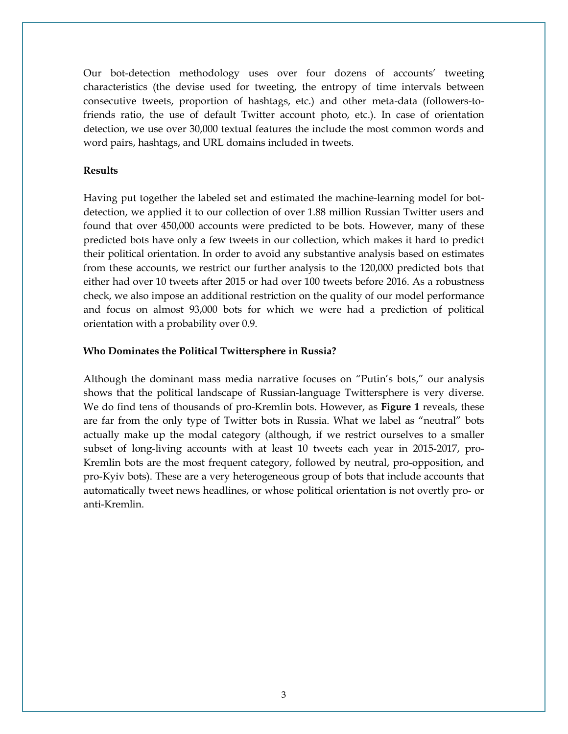Our bot-detection methodology uses over four dozens of accounts' tweeting characteristics (the devise used for tweeting, the entropy of time intervals between consecutive tweets, proportion of hashtags, etc.) and other meta-data (followers-tofriends ratio, the use of default Twitter account photo, etc.). In case of orientation detection, we use over 30,000 textual features the include the most common words and word pairs, hashtags, and URL domains included in tweets.

# **Results**

Having put together the labeled set and estimated the machine-learning model for botdetection, we applied it to our collection of over 1.88 million Russian Twitter users and found that over 450,000 accounts were predicted to be bots. However, many of these predicted bots have only a few tweets in our collection, which makes it hard to predict their political orientation. In order to avoid any substantive analysis based on estimates from these accounts, we restrict our further analysis to the 120,000 predicted bots that either had over 10 tweets after 2015 or had over 100 tweets before 2016. As a robustness check, we also impose an additional restriction on the quality of our model performance and focus on almost 93,000 bots for which we were had a prediction of political orientation with a probability over 0.9.

# **Who Dominates the Political Twittersphere in Russia?**

Although the dominant mass media narrative focuses on "Putin's bots," our analysis shows that the political landscape of Russian-language Twittersphere is very diverse. We do find tens of thousands of pro-Kremlin bots. However, as **Figure 1** reveals, these are far from the only type of Twitter bots in Russia. What we label as "neutral" bots actually make up the modal category (although, if we restrict ourselves to a smaller subset of long-living accounts with at least 10 tweets each year in 2015-2017, pro-Kremlin bots are the most frequent category, followed by neutral, pro-opposition, and pro-Kyiv bots). These are a very heterogeneous group of bots that include accounts that automatically tweet news headlines, or whose political orientation is not overtly pro- or anti-Kremlin.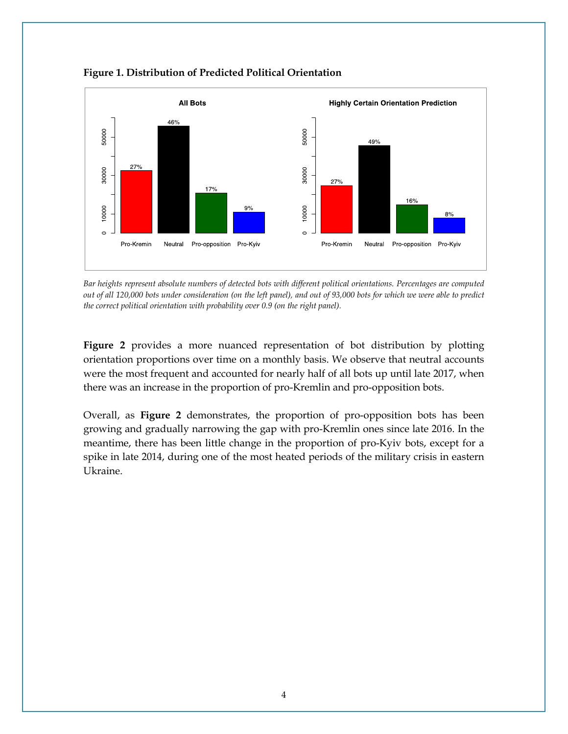

**Figure 1. Distribution of Predicted Political Orientation**

*Bar heights represent absolute numbers of detected bots with different political orientations. Percentages are computed out of all 120,000 bots under consideration (on the left panel), and out of 93,000 bots for which we were able to predict the correct political orientation with probability over 0.9 (on the right panel).*

**Figure 2** provides a more nuanced representation of bot distribution by plotting orientation proportions over time on a monthly basis. We observe that neutral accounts were the most frequent and accounted for nearly half of all bots up until late 2017, when there was an increase in the proportion of pro-Kremlin and pro-opposition bots.

Overall, as **Figure 2** demonstrates, the proportion of pro-opposition bots has been growing and gradually narrowing the gap with pro-Kremlin ones since late 2016. In the meantime, there has been little change in the proportion of pro-Kyiv bots, except for a spike in late 2014, during one of the most heated periods of the military crisis in eastern Ukraine.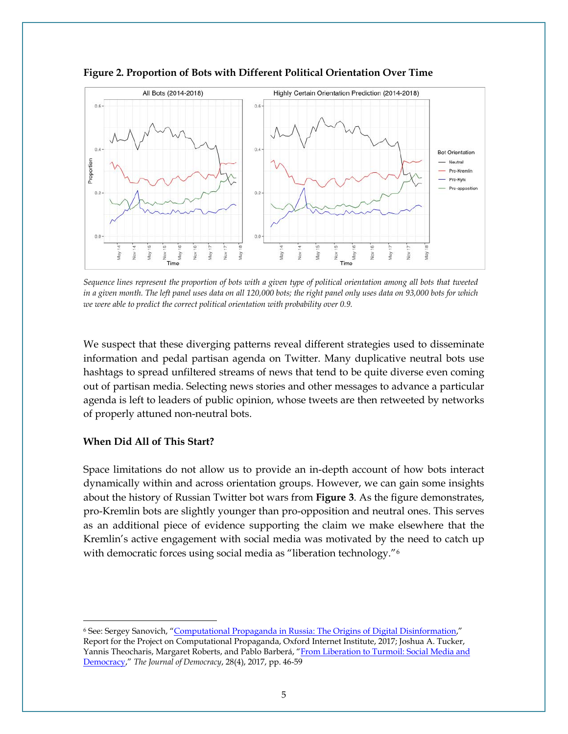



*Sequence lines represent the proportion of bots with a given type of political orientation among all bots that tweeted in a given month. The left panel uses data on all 120,000 bots; the right panel only uses data on 93,000 bots for which we were able to predict the correct political orientation with probability over 0.9.*

We suspect that these diverging patterns reveal different strategies used to disseminate information and pedal partisan agenda on Twitter. Many duplicative neutral bots use hashtags to spread unfiltered streams of news that tend to be quite diverse even coming out of partisan media. Selecting news stories and other messages to advance a particular agenda is left to leaders of public opinion, whose tweets are then retweeted by networks of properly attuned non-neutral bots.

# **When Did All of This Start?**

Space limitations do not allow us to provide an in-depth account of how bots interact dynamically within and across orientation groups. However, we can gain some insights about the history of Russian Twitter bot wars from **Figure 3**. As the figure demonstrates, pro-Kremlin bots are slightly younger than pro-opposition and neutral ones. This serves as an additional piece of evidence supporting the claim we make elsewhere that the Kremlin's active engagement with social media was motivated by the need to catch up with democratic forces using social media as "liberation technology."<sup>6</sup>

<span id="page-4-0"></span><sup>6</sup> See: Sergey Sanovich, ["Computational Propaganda in Russia: The Origins of Digital Disinformation,](https://www.oii.ox.ac.uk/blog/computational-propaganda-in-russia-the-origins-of-digital-misinformation/)" Report for the Project on Computational Propaganda, Oxford Internet Institute, 2017; Joshua A. Tucker, Yannis Theocharis, Margaret Roberts, and Pablo Barberá, "From Liberation to Turmoil: Social Media and [Democracy,](https://www.journalofdemocracy.org/article/liberation-turmoil-social-media-and-democracy)" *The Journal of Democracy*, 28(4), 2017, pp. 46-59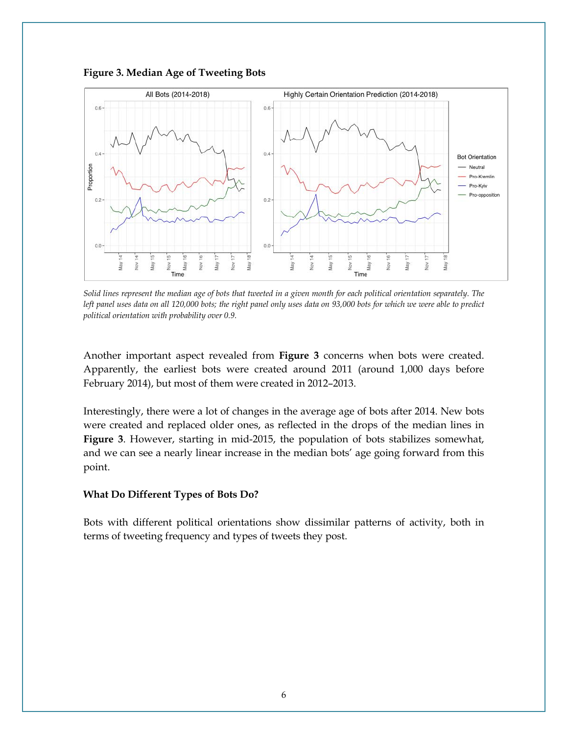

**Figure 3. Median Age of Tweeting Bots**

*Solid lines represent the median age of bots that tweeted in a given month for each political orientation separately. The left panel uses data on all 120,000 bots; the right panel only uses data on 93,000 bots for which we were able to predict political orientation with probability over 0.9.*

Another important aspect revealed from **Figure 3** concerns when bots were created. Apparently, the earliest bots were created around 2011 (around 1,000 days before February 2014), but most of them were created in 2012–2013.

Interestingly, there were a lot of changes in the average age of bots after 2014. New bots were created and replaced older ones, as reflected in the drops of the median lines in **Figure 3**. However, starting in mid-2015, the population of bots stabilizes somewhat, and we can see a nearly linear increase in the median bots' age going forward from this point.

#### **What Do Different Types of Bots Do?**

Bots with different political orientations show dissimilar patterns of activity, both in terms of tweeting frequency and types of tweets they post.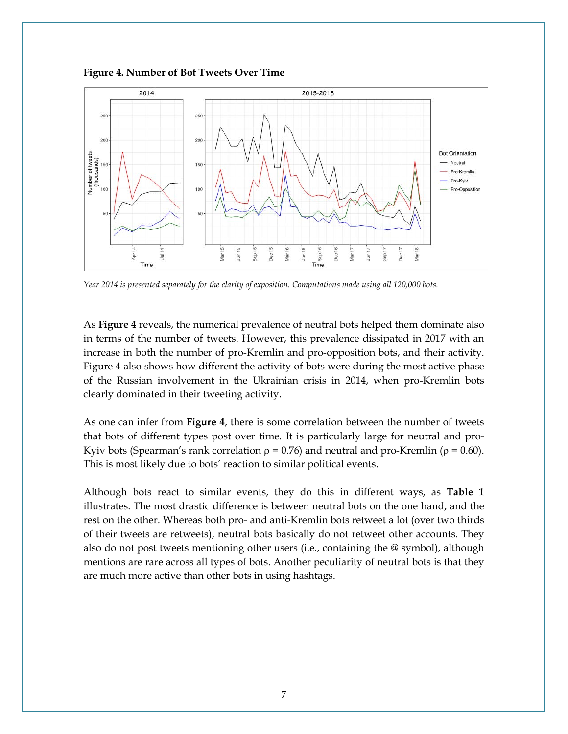



*Year 2014 is presented separately for the clarity of exposition. Computations made using all 120,000 bots.*

As **Figure 4** reveals, the numerical prevalence of neutral bots helped them dominate also in terms of the number of tweets. However, this prevalence dissipated in 2017 with an increase in both the number of pro-Kremlin and pro-opposition bots, and their activity. Figure 4 also shows how different the activity of bots were during the most active phase of the Russian involvement in the Ukrainian crisis in 2014, when pro-Kremlin bots clearly dominated in their tweeting activity.

As one can infer from **Figure 4**, there is some correlation between the number of tweets that bots of different types post over time. It is particularly large for neutral and pro-Kyiv bots (Spearman's rank correlation  $\rho = 0.76$ ) and neutral and pro-Kremlin ( $\rho = 0.60$ ). This is most likely due to bots' reaction to similar political events.

Although bots react to similar events, they do this in different ways, as **Table 1** illustrates. The most drastic difference is between neutral bots on the one hand, and the rest on the other. Whereas both pro- and anti-Kremlin bots retweet a lot (over two thirds of their tweets are retweets), neutral bots basically do not retweet other accounts. They also do not post tweets mentioning other users (i.e., containing the @ symbol), although mentions are rare across all types of bots. Another peculiarity of neutral bots is that they are much more active than other bots in using hashtags.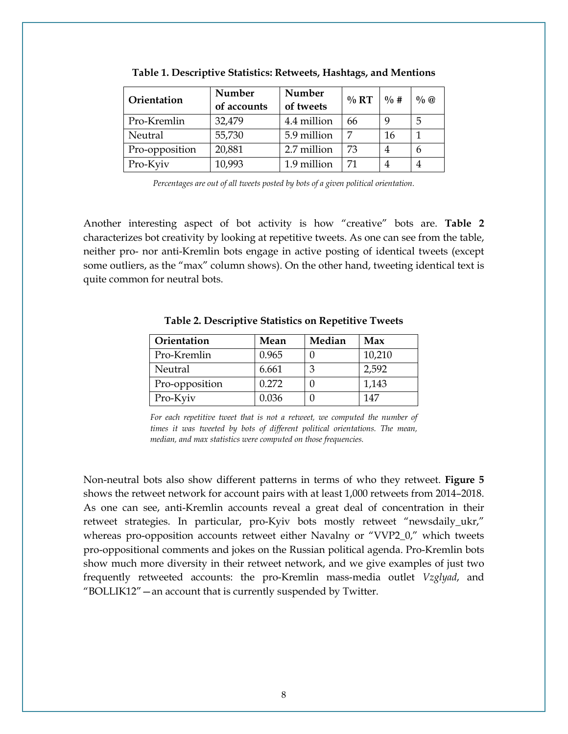| Orientation    | Number<br>of accounts | Number<br>of tweets | $\%$ RT | $\frac{0}{0}$ # | $\%$ |
|----------------|-----------------------|---------------------|---------|-----------------|------|
| Pro-Kremlin    | 32,479                | 4.4 million         | 66      | 9               | 5    |
| Neutral        | 55,730                | 5.9 million         |         | 16              |      |
| Pro-opposition | 20,881                | 2.7 million         | 73      | 4               | h    |
| Pro-Kyiv       | 10,993                | 1.9 million         |         | 4               |      |

**Table 1. Descriptive Statistics: Retweets, Hashtags, and Mentions** 

*Percentages are out of all tweets posted by bots of a given political orientation.*

Another interesting aspect of bot activity is how "creative" bots are. **Table 2** characterizes bot creativity by looking at repetitive tweets. As one can see from the table, neither pro- nor anti-Kremlin bots engage in active posting of identical tweets (except some outliers, as the "max" column shows). On the other hand, tweeting identical text is quite common for neutral bots.

| Orientation    | Mean  | Median | Max    |
|----------------|-------|--------|--------|
| Pro-Kremlin    | 0.965 |        | 10,210 |
| Neutral        | 6.661 |        | 2,592  |
| Pro-opposition | 0.272 |        | 1,143  |
| Pro-Kyiv       | 0.036 |        | 147    |

**Table 2. Descriptive Statistics on Repetitive Tweets**

*For each repetitive tweet that is not a retweet, we computed the number of times it was tweeted by bots of different political orientations. The mean, median, and max statistics were computed on those frequencies.*

Non-neutral bots also show different patterns in terms of who they retweet. **Figure 5** shows the retweet network for account pairs with at least 1,000 retweets from 2014–2018. As one can see, anti-Kremlin accounts reveal a great deal of concentration in their retweet strategies. In particular, pro-Kyiv bots mostly retweet "newsdaily\_ukr," whereas pro-opposition accounts retweet either Navalny or "VVP2\_0," which tweets pro-oppositional comments and jokes on the Russian political agenda. Pro-Kremlin bots show much more diversity in their retweet network, and we give examples of just two frequently retweeted accounts: the pro-Kremlin mass-media outlet *Vzglyad*, and "BOLLIK12"—an account that is currently suspended by Twitter.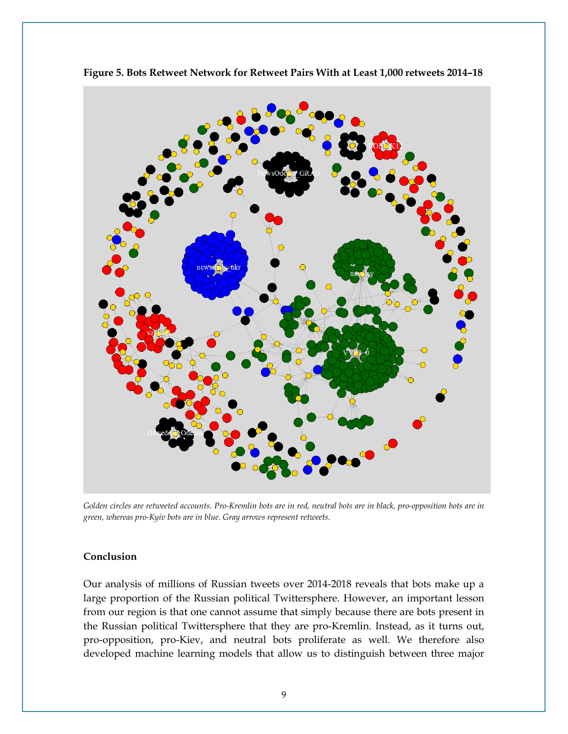

**Figure 5. Bots Retweet Network for Retweet Pairs With at Least 1,000 retweets 2014–18** 

*Golden circles are retweeted accounts. Pro-Kremlin bots are in red, neutral bots are in black, pro-opposition bots are in green, whereas pro-Kyiv bots are in blue. Gray arrows represent retweets.*

#### **Conclusion**

Our analysis of millions of Russian tweets over 2014-2018 reveals that bots make up a large proportion of the Russian political Twittersphere. However, an important lesson from our region is that one cannot assume that simply because there are bots present in the Russian political Twittersphere that they are pro-Kremlin. Instead, as it turns out, pro-opposition, pro-Kiev, and neutral bots proliferate as well. We therefore also developed machine learning models that allow us to distinguish between three major